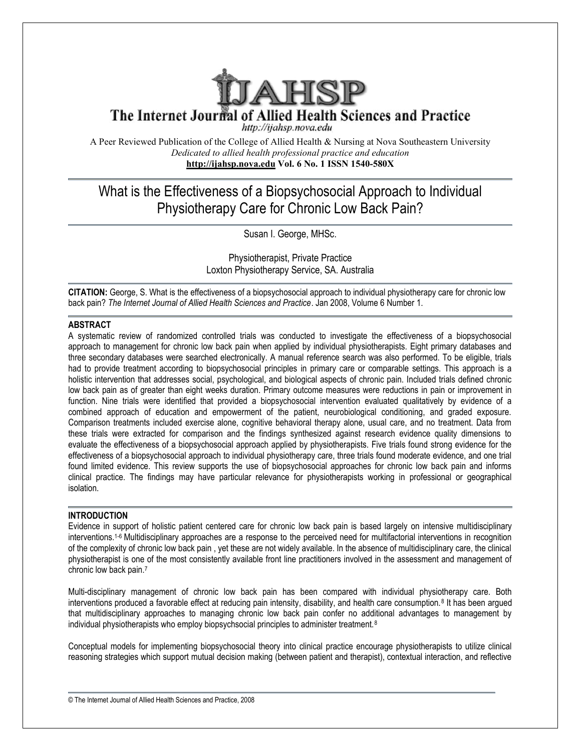

The Internet Journal of Allied Health Sciences and Practice

http://ijahsp.nova.edu

A Peer Reviewed Publication of the College of Allied Health & Nursing at Nova Southeastern University *Dedicated to allied health professional practice and education* **<http://ijahsp.nova.edu> Vol. 6 No. 1 ISSN 1540-580X** 

# What is the Effectiveness of a Biopsychosocial Approach to Individual Physiotherapy Care for Chronic Low Back Pain?

Susan I. George, MHSc.

Physiotherapist, Private Practice Loxton Physiotherapy Service, SA. Australia

**CITATION:** George, S. What is the effectiveness of a biopsychosocial approach to individual physiotherapy care for chronic low back pain? *The Internet Journal of Allied Health Sciences and Practice*. Jan 2008, Volume 6 Number 1.

### **ABSTRACT**

A systematic review of randomized controlled trials was conducted to investigate the effectiveness of a biopsychosocial approach to management for chronic low back pain when applied by individual physiotherapists. Eight primary databases and three secondary databases were searched electronically. A manual reference search was also performed. To be eligible, trials had to provide treatment according to biopsychosocial principles in primary care or comparable settings. This approach is a holistic intervention that addresses social, psychological, and biological aspects of chronic pain. Included trials defined chronic low back pain as of greater than eight weeks duration. Primary outcome measures were reductions in pain or improvement in function. Nine trials were identified that provided a biopsychosocial intervention evaluated qualitatively by evidence of a combined approach of education and empowerment of the patient, neurobiological conditioning, and graded exposure. Comparison treatments included exercise alone, cognitive behavioral therapy alone, usual care, and no treatment. Data from these trials were extracted for comparison and the findings synthesized against research evidence quality dimensions to evaluate the effectiveness of a biopsychosocial approach applied by physiotherapists. Five trials found strong evidence for the effectiveness of a biopsychosocial approach to individual physiotherapy care, three trials found moderate evidence, and one trial found limited evidence. This review supports the use of biopsychosocial approaches for chronic low back pain and informs clinical practice. The findings may have particular relevance for physiotherapists working in professional or geographical isolation.

## **INTRODUCTION**

Evidence in support of holistic patient centered care for chronic low back pain is based largely on intensive multidisciplinary interventions.1-6 Multidisciplinary approaches are a response to the perceived need for multifactorial interventions in recognition of the complexity of chronic low back pain , yet these are not widely available. In the absence of multidisciplinary care, the clinical physiotherapist is one of the most consistently available front line practitioners involved in the assessment and management of chronic low back pain.<sup>7</sup>

Multi-disciplinary management of chronic low back pain has been compared with individual physiotherapy care. Both interventions produced a favorable effect at reducing pain intensity, disability, and health care consumption.<sup>8</sup> It has been argued that multidisciplinary approaches to managing chronic low back pain confer no additional advantages to management by individual physiotherapists who employ biopsychsocial principles to administer treatment.<sup>8</sup>

Conceptual models for implementing biopsychosocial theory into clinical practice encourage physiotherapists to utilize clinical reasoning strategies which support mutual decision making (between patient and therapist), contextual interaction, and reflective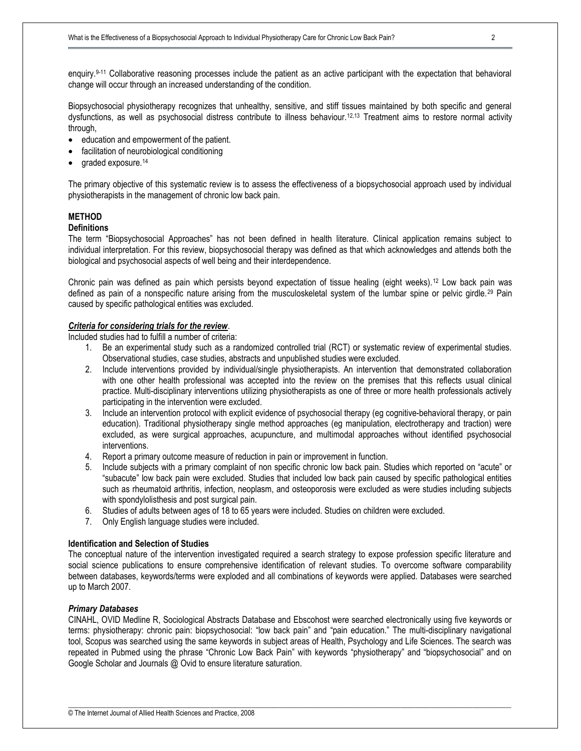enquiry.9-11 Collaborative reasoning processes include the patient as an active participant with the expectation that behavioral change will occur through an increased understanding of the condition.

Biopsychosocial physiotherapy recognizes that unhealthy, sensitive, and stiff tissues maintained by both specific and general dysfunctions, as well as psychosocial distress contribute to illness behaviour.12,13 Treatment aims to restore normal activity through,

- education and empowerment of the patient.
- facilitation of neurobiological conditioning
- graded exposure.<sup>14</sup>

The primary objective of this systematic review is to assess the effectiveness of a biopsychosocial approach used by individual physiotherapists in the management of chronic low back pain.

#### **METHOD**

#### **Definitions**

The term "Biopsychosocial Approaches" has not been defined in health literature. Clinical application remains subject to individual interpretation. For this review, biopsychosocial therapy was defined as that which acknowledges and attends both the biological and psychosocial aspects of well being and their interdependence.

Chronic pain was defined as pain which persists beyond expectation of tissue healing (eight weeks).<sup>12</sup> Low back pain was defined as pain of a nonspecific nature arising from the musculoskeletal system of the lumbar spine or pelvic girdle.<sup>29</sup> Pain caused by specific pathological entities was excluded.

# *Criteria for considering trials for the review*.

Included studies had to fulfill a number of criteria:

- 1. Be an experimental study such as a randomized controlled trial (RCT) or systematic review of experimental studies. Observational studies, case studies, abstracts and unpublished studies were excluded.
- 2. Include interventions provided by individual/single physiotherapists. An intervention that demonstrated collaboration with one other health professional was accepted into the review on the premises that this reflects usual clinical practice. Multi-disciplinary interventions utilizing physiotherapists as one of three or more health professionals actively participating in the intervention were excluded.
- 3. Include an intervention protocol with explicit evidence of psychosocial therapy (eg cognitive-behavioral therapy, or pain education). Traditional physiotherapy single method approaches (eg manipulation, electrotherapy and traction) were excluded, as were surgical approaches, acupuncture, and multimodal approaches without identified psychosocial interventions.
- 4. Report a primary outcome measure of reduction in pain or improvement in function.
- 5. Include subjects with a primary complaint of non specific chronic low back pain. Studies which reported on "acute" or "subacute" low back pain were excluded. Studies that included low back pain caused by specific pathological entities such as rheumatoid arthritis, infection, neoplasm, and osteoporosis were excluded as were studies including subjects with spondylolisthesis and post surgical pain.
- 6. Studies of adults between ages of 18 to 65 years were included. Studies on children were excluded.
- 7. Only English language studies were included.

#### **Identification and Selection of Studies**

The conceptual nature of the intervention investigated required a search strategy to expose profession specific literature and social science publications to ensure comprehensive identification of relevant studies. To overcome software comparability between databases, keywords/terms were exploded and all combinations of keywords were applied. Databases were searched up to March 2007.

### *Primary Databases*

CINAHL, OVID Medline R, Sociological Abstracts Database and Ebscohost were searched electronically using five keywords or terms: physiotherapy: chronic pain: biopsychosocial: "low back pain" and "pain education." The multi-disciplinary navigational tool, Scopus was searched using the same keywords in subject areas of Health, Psychology and Life Sciences. The search was repeated in Pubmed using the phrase "Chronic Low Back Pain" with keywords "physiotherapy" and "biopsychosocial" and on Google Scholar and Journals @ Ovid to ensure literature saturation.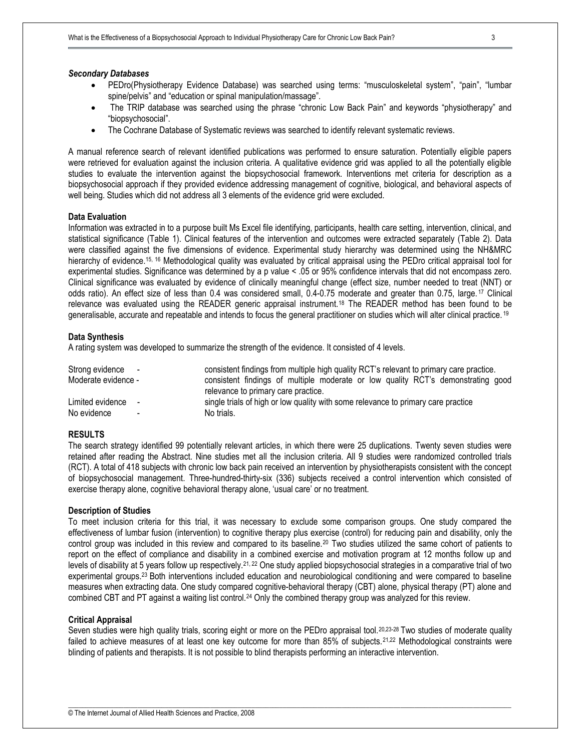#### *Secondary Databases*

- · PEDro(Physiotherapy Evidence Database) was searched using terms: "musculoskeletal system", "pain", "lumbar spine/pelvis" and "education or spinal manipulation/massage".
- The TRIP database was searched using the phrase "chronic Low Back Pain" and keywords "physiotherapy" and "biopsychosocial".
- · The Cochrane Database of Systematic reviews was searched to identify relevant systematic reviews.

A manual reference search of relevant identified publications was performed to ensure saturation. Potentially eligible papers were retrieved for evaluation against the inclusion criteria. A qualitative evidence grid was applied to all the potentially eligible studies to evaluate the intervention against the biopsychosocial framework. Interventions met criteria for description as a biopsychosocial approach if they provided evidence addressing management of cognitive, biological, and behavioral aspects of well being. Studies which did not address all 3 elements of the evidence grid were excluded.

#### **Data Evaluation**

Information was extracted in to a purpose built Ms Excel file identifying, participants, health care setting, intervention, clinical, and statistical significance (Table 1). Clinical features of the intervention and outcomes were extracted separately (Table 2). Data were classified against the five dimensions of evidence. Experimental study hierarchy was determined using the NH&MRC hierarchy of evidence.<sup>15, 16</sup> Methodological quality was evaluated by critical appraisal using the PEDro critical appraisal tool for experimental studies. Significance was determined by a p value < .05 or 95% confidence intervals that did not encompass zero. Clinical significance was evaluated by evidence of clinically meaningful change (effect size, number needed to treat (NNT) or odds ratio). An effect size of less than 0.4 was considered small, 0.4-0.75 moderate and greater than 0.75, large. <sup>17</sup> Clinical relevance was evaluated using the READER generic appraisal instrument.<sup>18</sup> The READER method has been found to be generalisable, accurate and repeatable and intends to focus the general practitioner on studies which will alter clinical practice. <sup>19</sup>

#### **Data Synthesis**

A rating system was developed to summarize the strength of the evidence. It consisted of 4 levels.

| Strong evidence -   |  | consistent findings from multiple high quality RCT's relevant to primary care practice. |  |  |  |  |  |  |
|---------------------|--|-----------------------------------------------------------------------------------------|--|--|--|--|--|--|
| Moderate evidence - |  | consistent findings of multiple moderate or low quality RCT's demonstrating good        |  |  |  |  |  |  |
|                     |  | relevance to primary care practice.                                                     |  |  |  |  |  |  |
| Limited evidence -  |  | single trials of high or low quality with some relevance to primary care practice       |  |  |  |  |  |  |
| No evidence         |  | No trials.                                                                              |  |  |  |  |  |  |

#### **RESULTS**

The search strategy identified 99 potentially relevant articles, in which there were 25 duplications. Twenty seven studies were retained after reading the Abstract. Nine studies met all the inclusion criteria. All 9 studies were randomized controlled trials (RCT). A total of 418 subjects with chronic low back pain received an intervention by physiotherapists consistent with the concept of biopsychosocial management. Three-hundred-thirty-six (336) subjects received a control intervention which consisted of exercise therapy alone, cognitive behavioral therapy alone, 'usual care' or no treatment.

#### **Description of Studies**

To meet inclusion criteria for this trial, it was necessary to exclude some comparison groups. One study compared the effectiveness of lumbar fusion (intervention) to cognitive therapy plus exercise (control) for reducing pain and disability, only the control group was included in this review and compared to its baseline.<sup>20</sup> Two studies utilized the same cohort of patients to report on the effect of compliance and disability in a combined exercise and motivation program at 12 months follow up and levels of disability at 5 years follow up respectively.21, 22 One study applied biopsychosocial strategies in a comparative trial of two experimental groups.23 Both interventions included education and neurobiological conditioning and were compared to baseline measures when extracting data. One study compared cognitive-behavioral therapy (CBT) alone, physical therapy (PT) alone and combined CBT and PT against a waiting list control.24 Only the combined therapy group was analyzed for this review.

#### **Critical Appraisal**

Seven studies were high quality trials, scoring eight or more on the PEDro appraisal tool.<sup>20,23-28</sup> Two studies of moderate quality failed to achieve measures of at least one key outcome for more than 85% of subjects.<sup>21,22</sup> Methodological constraints were blinding of patients and therapists. It is not possible to blind therapists performing an interactive intervention.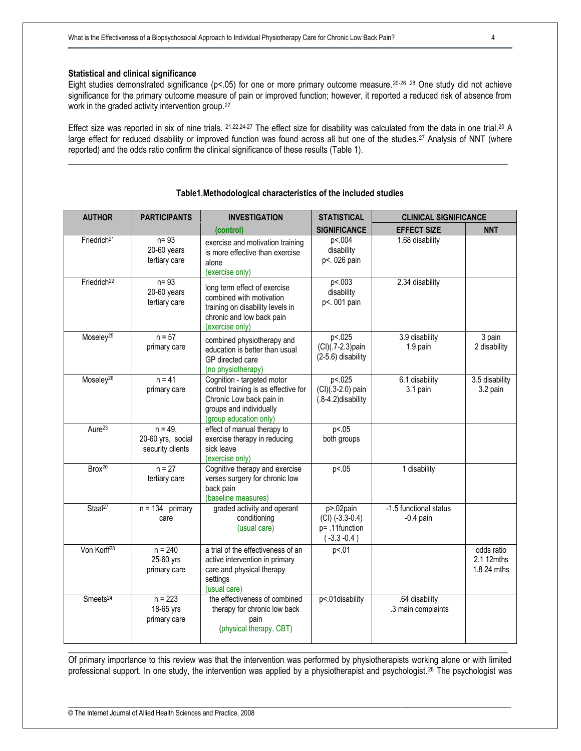#### **Statistical and clinical significance**

Eight studies demonstrated significance (p<.05) for one or more primary outcome measure.20-26 ,28 One study did not achieve significance for the primary outcome measure of pain or improved function; however, it reported a reduced risk of absence from work in the graded activity intervention group.<sup>27</sup>

Effect size was reported in six of nine trials. 21,22,24-27 The effect size for disability was calculated from the data in one trial.20 A large effect for reduced disability or improved function was found across all but one of the studies.<sup>27</sup> Analysis of NNT (where reported) and the odds ratio confirm the clinical significance of these results (Table 1).

\_\_\_\_\_\_\_\_\_\_\_\_\_\_\_\_\_\_\_\_\_\_\_\_\_\_\_\_\_\_\_\_\_\_\_\_\_\_\_\_\_\_\_\_\_\_\_\_\_\_\_\_\_\_\_\_\_\_\_\_\_\_\_\_\_\_\_\_\_\_\_\_\_\_\_\_\_\_\_\_\_\_\_\_\_\_\_\_\_\_\_\_\_\_\_\_\_\_\_\_\_\_

| <b>AUTHOR</b>           | <b>PARTICIPANTS</b>                                 | <b>INVESTIGATION</b>                                                                                                                                | <b>STATISTICAL</b>                                                               | <b>CLINICAL SIGNIFICANCE</b>          |                                         |  |
|-------------------------|-----------------------------------------------------|-----------------------------------------------------------------------------------------------------------------------------------------------------|----------------------------------------------------------------------------------|---------------------------------------|-----------------------------------------|--|
|                         |                                                     | (control)                                                                                                                                           | <b>SIGNIFICANCE</b>                                                              | <b>EFFECT SIZE</b>                    | <b>NNT</b>                              |  |
| Friedrich <sup>21</sup> | $n = 93$<br>$20-60$ years<br>tertiary care          | exercise and motivation training<br>is more effective than exercise<br>alone<br>(exercise only)                                                     | p<.004<br>disability<br>p<. 026 pain                                             | 1.68 disability                       |                                         |  |
| Friedrich <sup>22</sup> | $n = 93$<br>$20-60$ years<br>tertiary care          | long term effect of exercise<br>combined with motivation<br>training on disability levels in<br>chronic and low back pain<br>(exercise only)        | p<.003<br>disability<br>p<. 001 pain                                             | 2.34 disability                       |                                         |  |
| Moseley <sup>25</sup>   | $n = 57$<br>primary care                            | combined physiotherapy and<br>education is better than usual<br>GP directed care<br>(no physiotherapy)                                              | p<.025<br>3.9 disability<br>(CI)(.7-2.3)pain<br>1.9 pain<br>$(2-5.6)$ disability |                                       | 3 pain<br>2 disability                  |  |
| Moseley <sup>26</sup>   | $n = 41$<br>primary care                            | Cognition - targeted motor<br>control training is as effective for<br>Chronic Low back pain in<br>groups and individually<br>(group education only) | p<.025<br>(CI)(.3-2.0) pain<br>(.8-4.2) disability                               | 6.1 disability<br>3.1 pain            | 3.5 disability<br>3.2 pain              |  |
| Aure <sup>23</sup>      | $n = 49$ .<br>20-60 yrs, social<br>security clients | effect of manual therapy to<br>exercise therapy in reducing<br>sick leave<br>(exercise only)                                                        | p < 0.05<br>both groups                                                          |                                       |                                         |  |
| Brox <sup>20</sup>      | $n = 27$<br>tertiary care                           | Cognitive therapy and exercise<br>verses surgery for chronic low<br>back pain<br>(baseline measures)                                                | p <. 05                                                                          | 1 disability                          |                                         |  |
| Staal <sup>27</sup>     | $n = 134$ primary<br>care                           | graded activity and operant<br>conditioning<br>(usual care)                                                                                         | p>.02pain<br>$(Cl)$ (-3.3-0.4)<br>p= .11function<br>$(-3.3 - 0.4)$               | -1.5 functional status<br>$-0.4$ pain |                                         |  |
| Von Korff <sup>28</sup> | $n = 240$<br>25-60 yrs<br>primary care              | a trial of the effectiveness of an<br>active intervention in primary<br>care and physical therapy<br>settings<br>(usual care)                       | p <. 01                                                                          |                                       | odds ratio<br>2.1 12mths<br>1.8 24 mths |  |
| Smeets <sup>24</sup>    | $n = 223$<br>18-65 yrs<br>primary care              | the effectiveness of combined<br>therapy for chronic low back<br>pain<br>(physical therapy, CBT)                                                    | p<.01disability                                                                  | .64 disability<br>.3 main complaints  |                                         |  |

## **Table1.Methodological characteristics of the included studies**

\_\_\_\_\_\_\_\_\_\_\_\_\_\_\_\_\_\_\_\_\_\_\_\_\_\_\_\_\_\_\_\_\_\_\_\_\_\_\_\_\_\_\_\_\_\_\_\_\_\_\_\_\_\_\_\_\_\_\_\_\_\_\_\_\_\_\_\_\_\_\_\_\_\_\_\_\_\_\_\_\_\_\_\_\_\_\_\_\_\_\_\_\_\_\_\_\_\_\_\_\_\_ Of primary importance to this review was that the intervention was performed by physiotherapists working alone or with limited professional support. In one study, the intervention was applied by a physiotherapist and psychologist. <sup>28</sup> The psychologist was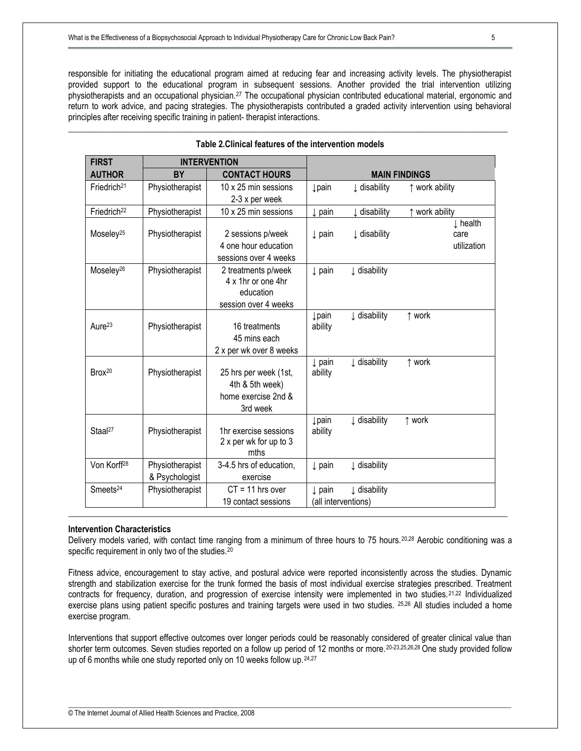responsible for initiating the educational program aimed at reducing fear and increasing activity levels. The physiotherapist provided support to the educational program in subsequent sessions. Another provided the trial intervention utilizing physiotherapists and an occupational physician.<sup>27</sup> The occupational physician contributed educational material, ergonomic and return to work advice, and pacing strategies. The physiotherapists contributed a graded activity intervention using behavioral principles after receiving specific training in patient- therapist interactions.

| <b>FIRST</b>            | <b>INTERVENTION</b> |                         |                      |              |                     |  |
|-------------------------|---------------------|-------------------------|----------------------|--------------|---------------------|--|
| <b>AUTHOR</b>           | <b>BY</b>           | <b>CONTACT HOURS</b>    | <b>MAIN FINDINGS</b> |              |                     |  |
| Friedrich <sup>21</sup> | Physiotherapist     | 10 x 25 min sessions    | <b>Įpain</b>         | ↓ disability | ↑ work ability      |  |
|                         |                     | 2-3 x per week          |                      |              |                     |  |
| Friedrich <sup>22</sup> | Physiotherapist     | 10 x 25 min sessions    | $\downarrow$ pain    | ↓ disability | ↑ work ability      |  |
|                         |                     |                         |                      |              | $\downarrow$ health |  |
| Moseley <sup>25</sup>   | Physiotherapist     | 2 sessions p/week       | $\downarrow$ pain    | I disability | care                |  |
|                         |                     | 4 one hour education    |                      |              | utilization         |  |
|                         |                     | sessions over 4 weeks   |                      |              |                     |  |
| Moseley <sup>26</sup>   | Physiotherapist     | 2 treatments p/week     | $\downarrow$ pain    | I disability |                     |  |
|                         |                     | 4 x 1hr or one 4hr      |                      |              |                     |  |
|                         |                     | education               |                      |              |                     |  |
|                         |                     | session over 4 weeks    | <b>Į</b> pain        | I disability | ↑ work              |  |
| Aure <sup>23</sup>      | Physiotherapist     | 16 treatments           | ability              |              |                     |  |
|                         |                     | 45 mins each            |                      |              |                     |  |
|                         |                     | 2 x per wk over 8 weeks |                      |              |                     |  |
|                         |                     |                         | $\downarrow$ pain    | I disability | ↑ work              |  |
| Brox <sup>20</sup>      | Physiotherapist     | 25 hrs per week (1st,   | ability              |              |                     |  |
|                         |                     | 4th & 5th week)         |                      |              |                     |  |
|                         |                     | home exercise 2nd &     |                      |              |                     |  |
|                         |                     | 3rd week                |                      |              |                     |  |
|                         |                     |                         | <b>Lpain</b>         | I disability | ↑ work              |  |
| Staal <sup>27</sup>     | Physiotherapist     | 1hr exercise sessions   | ability              |              |                     |  |
|                         |                     | 2 x per wk for up to 3  |                      |              |                     |  |
|                         |                     | mths                    |                      |              |                     |  |
| Von Korff <sup>28</sup> | Physiotherapist     | 3-4.5 hrs of education, | $\downarrow$ pain    | I disability |                     |  |
|                         | & Psychologist      | exercise                |                      |              |                     |  |
| Smeets <sup>24</sup>    | Physiotherapist     | $CT = 11$ hrs over      | $\downarrow$ pain    | I disability |                     |  |
|                         |                     | 19 contact sessions     | (all interventions)  |              |                     |  |

# \_\_\_\_\_\_\_\_\_\_\_\_\_\_\_\_\_\_\_\_\_\_\_\_\_\_\_\_\_\_\_\_\_\_\_\_\_\_\_\_\_\_\_\_\_\_\_\_\_\_\_\_\_\_\_\_\_\_\_\_\_\_\_\_\_\_\_\_\_\_\_\_\_\_\_\_\_\_\_\_\_\_\_\_\_\_\_\_\_\_\_\_\_\_\_\_\_\_\_\_\_\_ **Table 2.Clinical features of the intervention models**

#### **Intervention Characteristics**

Delivery models varied, with contact time ranging from a minimum of three hours to 75 hours.<sup>20,28</sup> Aerobic conditioning was a specific requirement in only two of the studies.<sup>20</sup>

\_\_\_\_\_\_\_\_\_\_\_\_\_\_\_\_\_\_\_\_\_\_\_\_\_\_\_\_\_\_\_\_\_\_\_\_\_\_\_\_\_\_\_\_\_\_\_\_\_\_\_\_\_\_\_\_\_\_\_\_\_\_\_\_\_\_\_\_\_\_\_\_\_\_\_\_\_\_\_\_\_\_\_\_\_\_\_\_\_\_\_\_\_\_\_\_\_\_\_\_\_\_

Fitness advice, encouragement to stay active, and postural advice were reported inconsistently across the studies. Dynamic strength and stabilization exercise for the trunk formed the basis of most individual exercise strategies prescribed. Treatment contracts for frequency, duration, and progression of exercise intensity were implemented in two studies.<sup>21,22</sup> Individualized exercise plans using patient specific postures and training targets were used in two studies. <sup>25,26</sup> All studies included a home exercise program.

Interventions that support effective outcomes over longer periods could be reasonably considered of greater clinical value than shorter term outcomes. Seven studies reported on a follow up period of 12 months or more.<sup>20-23,25,26,28</sup> One study provided follow up of 6 months while one study reported only on 10 weeks follow up.<sup>24,27</sup>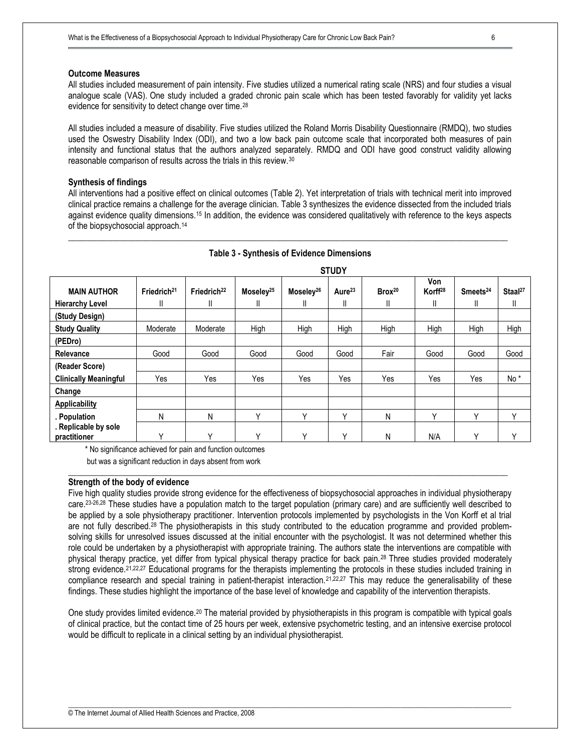#### **Outcome Measures**

All studies included measurement of pain intensity. Five studies utilized a numerical rating scale (NRS) and four studies a visual analogue scale (VAS). One study included a graded chronic pain scale which has been tested favorably for validity yet lacks evidence for sensitivity to detect change over time.<sup>28</sup>

All studies included a measure of disability. Five studies utilized the Roland Morris Disability Questionnaire (RMDQ), two studies used the Oswestry Disability Index (ODI), and two a low back pain outcome scale that incorporated both measures of pain intensity and functional status that the authors analyzed separately. RMDQ and ODI have good construct validity allowing reasonable comparison of results across the trials in this review.<sup>30</sup>

#### **Synthesis of findings**

All interventions had a positive effect on clinical outcomes (Table 2). Yet interpretation of trials with technical merit into improved clinical practice remains a challenge for the average clinician. Table 3 synthesizes the evidence dissected from the included trials against evidence quality dimensions.<sup>15</sup> In addition, the evidence was considered qualitatively with reference to the keys aspects of the biopsychosocial approach.<sup>14</sup>

|                                      | <b>STUDY</b>            |                         |                       |                       |                    |                    |                            |                      |                     |
|--------------------------------------|-------------------------|-------------------------|-----------------------|-----------------------|--------------------|--------------------|----------------------------|----------------------|---------------------|
| <b>MAIN AUTHOR</b>                   | Friedrich <sup>21</sup> | Friedrich <sup>22</sup> | Moseley <sup>25</sup> | Moseley <sup>26</sup> | Aure <sup>23</sup> | Brox <sup>20</sup> | Von<br>Korff <sup>28</sup> | Smeets <sup>24</sup> | Staal <sup>27</sup> |
| <b>Hierarchy Level</b>               | Ш                       | Ш                       | Ш                     | Ш                     | Ш                  | Ш                  | Ш                          | Ш                    | Ш                   |
| (Study Design)                       |                         |                         |                       |                       |                    |                    |                            |                      |                     |
| <b>Study Quality</b>                 | Moderate                | Moderate                | High                  | High                  | High               | High               | High                       | High                 | High                |
| (PEDro)                              |                         |                         |                       |                       |                    |                    |                            |                      |                     |
| Relevance                            | Good                    | Good                    | Good                  | Good                  | Good               | Fair               | Good                       | Good                 | Good                |
| (Reader Score)                       |                         |                         |                       |                       |                    |                    |                            |                      |                     |
| <b>Clinically Meaningful</b>         | Yes                     | Yes                     | Yes                   | Yes                   | Yes                | Yes                | Yes                        | Yes                  | No <sup>*</sup>     |
| Change                               |                         |                         |                       |                       |                    |                    |                            |                      |                     |
| <b>Applicability</b>                 |                         |                         |                       |                       |                    |                    |                            |                      |                     |
| . Population                         | N                       | Ν                       | v                     | $\checkmark$          | $\checkmark$       | N                  | $\checkmark$               | $\checkmark$         | Υ                   |
| . Replicable by sole<br>practitioner | $\checkmark$            | $\checkmark$            | v                     | $\checkmark$          | $\checkmark$       | N                  | N/A                        | Υ                    | $\checkmark$        |

# \_\_\_\_\_\_\_\_\_\_\_\_\_\_\_\_\_\_\_\_\_\_\_\_\_\_\_\_\_\_\_\_\_\_\_\_\_\_\_\_\_\_\_\_\_\_\_\_\_\_\_\_\_\_\_\_\_\_\_\_\_\_\_\_\_\_\_\_\_\_\_\_\_\_\_\_\_\_\_\_\_\_\_\_\_\_\_\_\_\_\_\_\_\_\_\_\_\_\_\_\_\_ **Table 3 - Synthesis of Evidence Dimensions**

\* No significance achieved for pain and function outcomes

but was a significant reduction in days absent from work

#### **Strength of the body of evidence**

Five high quality studies provide strong evidence for the effectiveness of biopsychosocial approaches in individual physiotherapy care.23-26,28 These studies have a population match to the target population (primary care) and are sufficiently well described to be applied by a sole physiotherapy practitioner. Intervention protocols implemented by psychologists in the Von Korff et al trial are not fully described.<sup>28</sup> The physiotherapists in this study contributed to the education programme and provided problemsolving skills for unresolved issues discussed at the initial encounter with the psychologist. It was not determined whether this role could be undertaken by a physiotherapist with appropriate training. The authors state the interventions are compatible with physical therapy practice, yet differ from typical physical therapy practice for back pain.28 Three studies provided moderately strong evidence.<sup>21,22,27</sup> Educational programs for the therapists implementing the protocols in these studies included training in compliance research and special training in patient-therapist interaction.<sup>21,22,27</sup> This may reduce the generalisability of these findings. These studies highlight the importance of the base level of knowledge and capability of the intervention therapists.

**\_\_\_\_\_\_\_\_\_\_\_\_\_\_\_\_\_\_\_\_\_\_\_\_\_\_\_\_\_\_\_\_\_\_\_\_\_\_\_\_\_\_\_\_\_\_\_\_\_\_\_\_\_\_\_\_\_\_\_\_\_\_\_\_\_\_\_\_\_\_\_\_\_\_\_\_\_\_\_\_\_\_\_\_\_\_\_\_\_\_\_\_\_\_\_\_\_\_\_\_\_\_** 

One study provides limited evidence.<sup>20</sup> The material provided by physiotherapists in this program is compatible with typical goals of clinical practice, but the contact time of 25 hours per week, extensive psychometric testing, and an intensive exercise protocol would be difficult to replicate in a clinical setting by an individual physiotherapist.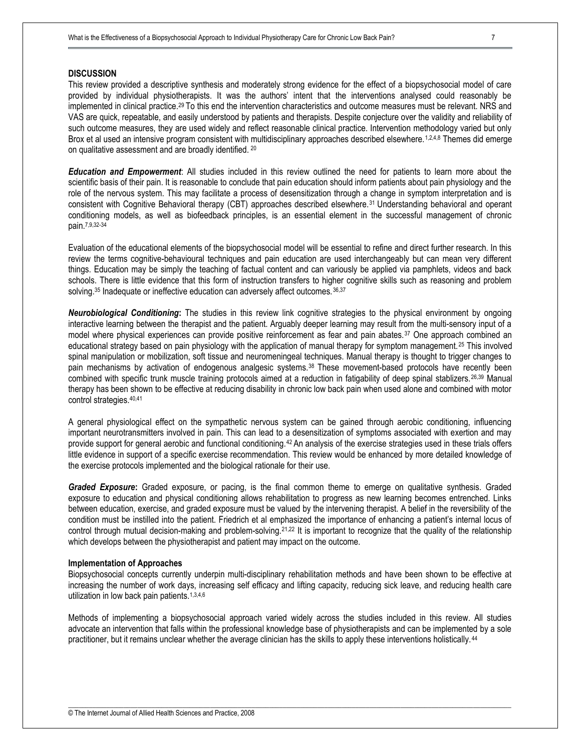## **DISCUSSION**

This review provided a descriptive synthesis and moderately strong evidence for the effect of a biopsychosocial model of care provided by individual physiotherapists. It was the authors' intent that the interventions analysed could reasonably be implemented in clinical practice.29 To this end the intervention characteristics and outcome measures must be relevant. NRS and VAS are quick, repeatable, and easily understood by patients and therapists. Despite conjecture over the validity and reliability of such outcome measures, they are used widely and reflect reasonable clinical practice. Intervention methodology varied but only Brox et al used an intensive program consistent with multidisciplinary approaches described elsewhere.<sup>1,2,4,8</sup> Themes did emerge on qualitative assessment and are broadly identified. <sup>20</sup>

*Education and Empowerment*: All studies included in this review outlined the need for patients to learn more about the scientific basis of their pain. It is reasonable to conclude that pain education should inform patients about pain physiology and the role of the nervous system. This may facilitate a process of desensitization through a change in symptom interpretation and is consistent with Cognitive Behavioral therapy (CBT) approaches described elsewhere.31 Understanding behavioral and operant conditioning models, as well as biofeedback principles, is an essential element in the successful management of chronic pain.7,9,32-34

Evaluation of the educational elements of the biopsychosocial model will be essential to refine and direct further research. In this review the terms cognitive-behavioural techniques and pain education are used interchangeably but can mean very different things. Education may be simply the teaching of factual content and can variously be applied via pamphlets, videos and back schools. There is little evidence that this form of instruction transfers to higher cognitive skills such as reasoning and problem solving.<sup>35</sup> Inadequate or ineffective education can adversely affect outcomes.<sup>36,37</sup>

*Neurobiological Conditioning***:** The studies in this review link cognitive strategies to the physical environment by ongoing interactive learning between the therapist and the patient. Arguably deeper learning may result from the multi-sensory input of a model where physical experiences can provide positive reinforcement as fear and pain abates.<sup>37</sup> One approach combined an educational strategy based on pain physiology with the application of manual therapy for symptom management. <sup>25</sup> This involved spinal manipulation or mobilization, soft tissue and neuromeningeal techniques. Manual therapy is thought to trigger changes to pain mechanisms by activation of endogenous analgesic systems.38 These movement-based protocols have recently been combined with specific trunk muscle training protocols aimed at a reduction in fatigability of deep spinal stablizers.26,39 Manual therapy has been shown to be effective at reducing disability in chronic low back pain when used alone and combined with motor control strategies.40,41

A general physiological effect on the sympathetic nervous system can be gained through aerobic conditioning, influencing important neurotransmitters involved in pain. This can lead to a desensitization of symptoms associated with exertion and may provide support for general aerobic and functional conditioning.<sup>42</sup> An analysis of the exercise strategies used in these trials offers little evidence in support of a specific exercise recommendation. This review would be enhanced by more detailed knowledge of the exercise protocols implemented and the biological rationale for their use.

*Graded Exposure***:** Graded exposure, or pacing, is the final common theme to emerge on qualitative synthesis. Graded exposure to education and physical conditioning allows rehabilitation to progress as new learning becomes entrenched. Links between education, exercise, and graded exposure must be valued by the intervening therapist. A belief in the reversibility of the condition must be instilled into the patient. Friedrich et al emphasized the importance of enhancing a patient's internal locus of control through mutual decision-making and problem-solving.21,22 It is important to recognize that the quality of the relationship which develops between the physiotherapist and patient may impact on the outcome.

#### **Implementation of Approaches**

Biopsychosocial concepts currently underpin multi-disciplinary rehabilitation methods and have been shown to be effective at increasing the number of work days, increasing self efficacy and lifting capacity, reducing sick leave, and reducing health care utilization in low back pain patients.1,3,4,6

Methods of implementing a biopsychosocial approach varied widely across the studies included in this review. All studies advocate an intervention that falls within the professional knowledge base of physiotherapists and can be implemented by a sole practitioner, but it remains unclear whether the average clinician has the skills to apply these interventions holistically. <sup>44</sup>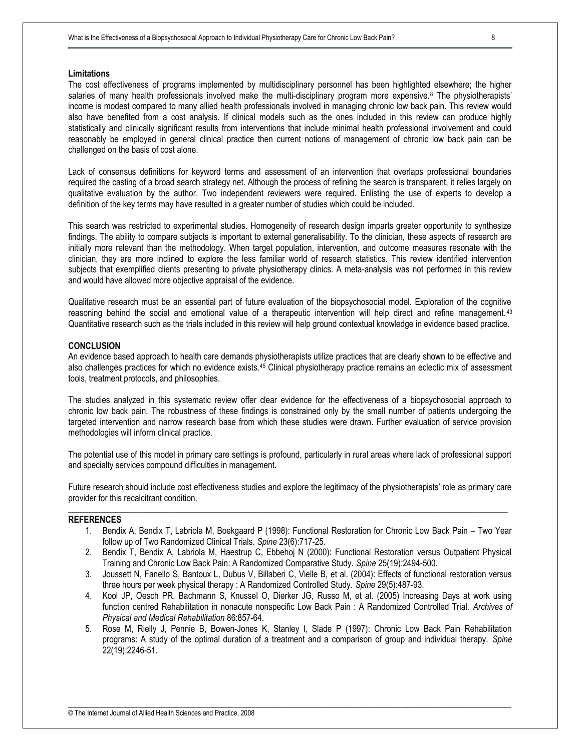#### **Limitations**

The cost effectiveness of programs implemented by multidisciplinary personnel has been highlighted elsewhere; the higher salaries of many health professionals involved make the multi-disciplinary program more expensive.<sup>8</sup> The physiotherapists' income is modest compared to many allied health professionals involved in managing chronic low back pain. This review would also have benefited from a cost analysis. If clinical models such as the ones included in this review can produce highly statistically and clinically significant results from interventions that include minimal health professional involvement and could reasonably be employed in general clinical practice then current notions of management of chronic low back pain can be challenged on the basis of cost alone.

Lack of consensus definitions for keyword terms and assessment of an intervention that overlaps professional boundaries required the casting of a broad search strategy net. Although the process of refining the search is transparent, it relies largely on qualitative evaluation by the author. Two independent reviewers were required. Enlisting the use of experts to develop a definition of the key terms may have resulted in a greater number of studies which could be included.

This search was restricted to experimental studies. Homogeneity of research design imparts greater opportunity to synthesize findings. The ability to compare subjects is important to external generalisability. To the clinician, these aspects of research are initially more relevant than the methodology. When target population, intervention, and outcome measures resonate with the clinician, they are more inclined to explore the less familiar world of research statistics. This review identified intervention subjects that exemplified clients presenting to private physiotherapy clinics. A meta-analysis was not performed in this review and would have allowed more objective appraisal of the evidence.

Qualitative research must be an essential part of future evaluation of the biopsychosocial model. Exploration of the cognitive reasoning behind the social and emotional value of a therapeutic intervention will help direct and refine management.<sup>43</sup> Quantitative research such as the trials included in this review will help ground contextual knowledge in evidence based practice.

#### **CONCLUSION**

An evidence based approach to health care demands physiotherapists utilize practices that are clearly shown to be effective and also challenges practices for which no evidence exists.<sup>45</sup> Clinical physiotherapy practice remains an eclectic mix of assessment tools, treatment protocols, and philosophies.

The studies analyzed in this systematic review offer clear evidence for the effectiveness of a biopsychosocial approach to chronic low back pain. The robustness of these findings is constrained only by the small number of patients undergoing the targeted intervention and narrow research base from which these studies were drawn. Further evaluation of service provision methodologies will inform clinical practice.

The potential use of this model in primary care settings is profound, particularly in rural areas where lack of professional support and specialty services compound difficulties in management.

Future research should include cost effectiveness studies and explore the legitimacy of the physiotherapists' role as primary care provider for this recalcitrant condition. **\_\_\_\_\_\_\_\_\_\_\_\_\_\_\_\_\_\_\_\_\_\_\_\_\_\_\_\_\_\_\_\_\_\_\_\_\_\_\_\_\_\_\_\_\_\_\_\_\_\_\_\_\_\_\_\_\_\_\_\_\_\_\_\_\_\_\_\_\_\_\_\_\_\_\_\_\_\_\_\_\_\_\_\_\_\_\_\_\_\_\_\_\_\_\_\_\_\_\_\_\_\_** 

#### **REFERENCES**

- 1. Bendix A, Bendix T, Labriola M, Boekgaard P (1998): Functional Restoration for Chronic Low Back Pain Two Year follow up of Two Randomized Clinical Trials. *Spine* 23(6):717-25.
- 2. Bendix T, Bendix A, Labriola M, Haestrup C, Ebbehoj N (2000): Functional Restoration versus Outpatient Physical Training and Chronic Low Back Pain: A Randomized Comparative Study. *Spine* 25(19):2494-500.
- 3. Joussett N, Fanello S, Bantoux L, Dubus V, Billaberi C, Vielle B, et al. (2004): Effects of functional restoration versus three hours per week physical therapy : A Randomized Controlled Study. *Spine* 29(5):487-93.
- 4. Kool JP, Oesch PR, Bachmann S, Knussel O, Dierker JG, Russo M, et al. (2005) Increasing Days at work using function centred Rehabilitation in nonacute nonspecific Low Back Pain : A Randomized Controlled Trial. *Archives of Physical and Medical Rehabilitation* 86:857-64.
- 5. Rose M, Rielly J, Pennie B, Bowen-Jones K, Stanley I, Slade P (1997): Chronic Low Back Pain Rehabilitation programs: A study of the optimal duration of a treatment and a comparison of group and individual therapy. *Spine* 22(19):2246-51.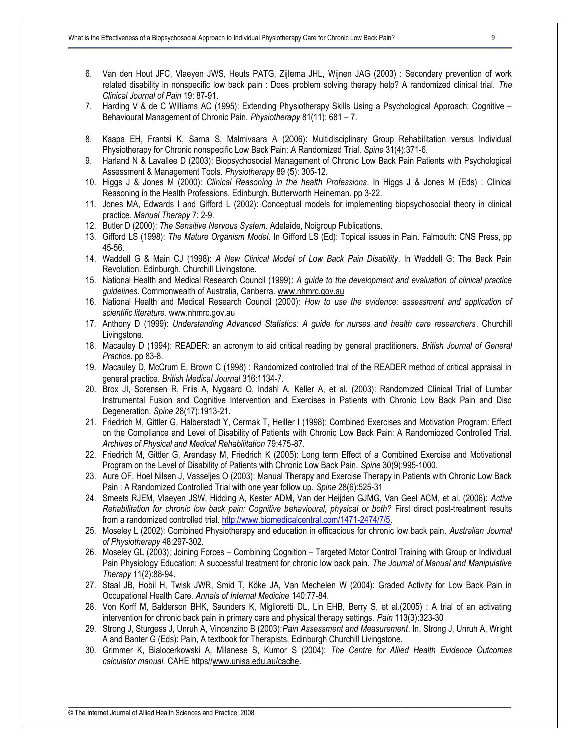- 6. Van den Hout JFC, Vlaeyen JWS, Heuts PATG, Zijlema JHL, Wijnen JAG (2003) : Secondary prevention of work related disability in nonspecific low back pain : Does problem solving therapy help? A randomized clinical trial. *The Clinical Journal of Pain* 19: 87-91.
- 7. Harding V & de C Williams AC (1995): Extending Physiotherapy Skills Using a Psychological Approach: Cognitive Behavioural Management of Chronic Pain. *Physiotherapy* 81(11): 681 – 7.
- 8. Kaapa EH, Frantsi K, Sarna S, Malmivaara A (2006): Multidisciplinary Group Rehabilitation versus Individual Physiotherapy for Chronic nonspecific Low Back Pain: A Randomized Trial. *Spine* 31(4):371-6.
- 9. Harland N & Lavallee D (2003): Biopsychosocial Management of Chronic Low Back Pain Patients with Psychological Assessment & Management Tools. *Physiotherapy* 89 (5): 305-12.
- 10. Higgs J & Jones M (2000): *Clinical Reasoning in the health Professions*. In Higgs J & Jones M (Eds) : Clinical Reasoning in the Health Professions. Edinburgh. Butterworth Heineman. pp 3-22.
- 11. Jones MA, Edwards I and Gifford L (2002): Conceptual models for implementing biopsychosocial theory in clinical practice. *Manual Therapy* 7: 2-9.
- 12. Butler D (2000): *The Sensitive Nervous System*. Adelaide, Noigroup Publications.
- 13. Gifford LS (1998): *The Mature Organism Model*. In Gifford LS (Ed): Topical issues in Pain. Falmouth: CNS Press, pp 45-56.
- 14. Waddell G & Main CJ (1998): *A New Clinical Model of Low Back Pain Disability*. In Waddell G: The Back Pain Revolution. Edinburgh. Churchill Livingstone.
- 15. National Health and Medical Research Council (1999): *A guide to the development and evaluation of clinical practice guidelines*. Commonwealth of Australia, Canberra. [www.nhmrc.gov.au](http://www.nhmrc.gov.au)
- 16. National Health and Medical Research Council (2000): *How to use the evidence: assessment and application of scientific literature.* [www.nhmrc.gov.au](http://www.nhmrc.gov.au)
- 17. Anthony D (1999): *Understanding Advanced Statistics: A guide for nurses and health care researchers*. Churchill Livingstone.
- 18. Macauley D (1994): READER: an acronym to aid critical reading by general practitioners. *British Journal of General Practice*. pp 83-8.
- 19. Macauley D, McCrum E, Brown C (1998) : Randomized controlled trial of the READER method of critical appraisal in general practice. *British Medical Journal* 316:1134-7.
- 20. Brox JI, Sorensen R, Friis A, Nygaard O, Indahl A, Keller A, et al. (2003): Randomized Clinical Trial of Lumbar Instrumental Fusion and Cognitive Intervention and Exercises in Patients with Chronic Low Back Pain and Disc Degeneration. *Spine* 28(17):1913-21.
- 21. Friedrich M, Gittler G, Halberstadt Y, Cermak T, Heiller I (1998): Combined Exercises and Motivation Program: Effect on the Compliance and Level of Disability of Patients with Chronic Low Back Pain: A Randomiozed Controlled Trial. *Archives of Physical and Medical Rehabilitation* 79:475-87.
- 22. Friedrich M, Gittler G, Arendasy M, Friedrich K (2005): Long term Effect of a Combined Exercise and Motivational Program on the Level of Disability of Patients with Chronic Low Back Pain. *Spine* 30(9):995-1000.
- 23. Aure OF, Hoel Nilsen J, Vasseljes O (2003): Manual Therapy and Exercise Therapy in Patients with Chronic Low Back Pain : A Randomized Controlled Trial with one year follow up. *Spine* 28(6):525-31
- 24. Smeets RJEM, Vlaeyen JSW, Hidding A, Kester ADM, Van der Heijden GJMG, Van Geel ACM, et al. (2006): *Active Rehabilitation for chronic low back pain: Cognitive behavioural, physical or both?* First direct post-treatment results from a randomized controlled trial. [http://www.biomedicalcentral.com/1471-2474/7/5.](http://www.biomedicalcentral.com/1471-2474/7/5)
- 25. Moseley L (2002): Combined Physiotherapy and education in efficacious for chronic low back pain. *Australian Journal of Physiotherapy* 48:297-302.
- 26. Moseley GL (2003); Joining Forces Combining Cognition Targeted Motor Control Training with Group or Individual Pain Physiology Education: A successful treatment for chronic low back pain. *The Journal of Manual and Manipulative Therapy* 11(2):88-94.
- 27. Staal JB, Hobil H, Twisk JWR, Smid T, Köke JA, Van Mechelen W (2004): Graded Activity for Low Back Pain in Occupational Health Care. *Annals of Internal Medicine* 140:77-84.
- 28. Von Korff M, Balderson BHK, Saunders K, Miglioretti DL, Lin EHB, Berry S, et al.(2005) : A trial of an activating intervention for chronic back pain in primary care and physical therapy settings. *Pain* 113(3):323-30
- 29. Strong J, Sturgess J, Unruh A, Vincenzino B (2003):*Pain Assessment and Measurement*. In, Strong J, Unruh A, Wright A and Banter G (Eds): Pain, A textbook for Therapists. Edinburgh Churchill Livingstone.
- 30. Grimmer K, Bialocerkowski A, Milanese S, Kumor S (2004): *The Centre for Allied Health Evidence Outcomes calculator manual.* CAHE https/[/www.unisa.edu.au/cache](http://www.unisa.edu.au/cache).